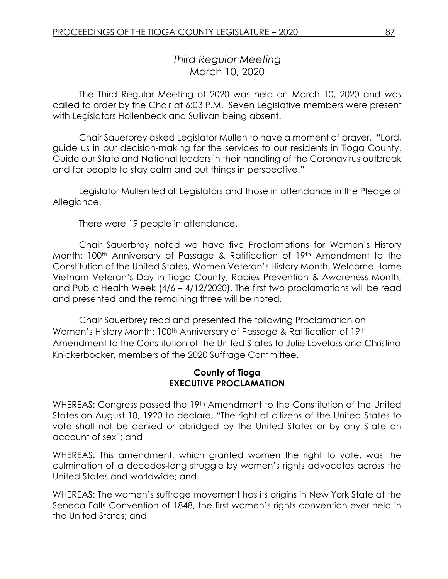# *Third Regular Meeting* March 10, 2020

The Third Regular Meeting of 2020 was held on March 10, 2020 and was called to order by the Chair at 6:03 P.M. Seven Legislative members were present with Legislators Hollenbeck and Sullivan being absent.

Chair Sauerbrey asked Legislator Mullen to have a moment of prayer. "Lord, guide us in our decision-making for the services to our residents in Tioga County. Guide our State and National leaders in their handling of the Coronavirus outbreak and for people to stay calm and put things in perspective."

Legislator Mullen led all Legislators and those in attendance in the Pledge of Allegiance.

There were 19 people in attendance.

Chair Sauerbrey noted we have five Proclamations for Women's History Month: 100<sup>th</sup> Anniversary of Passage & Ratification of 19<sup>th</sup> Amendment to the Constitution of the United States, Women Veteran's History Month, Welcome Home Vietnam Veteran's Day in Tioga County, Rabies Prevention & Awareness Month, and Public Health Week (4/6 – 4/12/2020). The first two proclamations will be read and presented and the remaining three will be noted.

Chair Sauerbrey read and presented the following Proclamation on Women's History Month: 100<sup>th</sup> Anniversary of Passage & Ratification of 19<sup>th</sup> Amendment to the Constitution of the United States to Julie Lovelass and Christina Knickerbocker, members of the 2020 Suffrage Committee.

#### **County of Tioga EXECUTIVE PROCLAMATION**

WHEREAS: Congress passed the 19<sup>th</sup> Amendment to the Constitution of the United States on August 18, 1920 to declare, "The right of citizens of the United States to vote shall not be denied or abridged by the United States or by any State on account of sex"; and

WHEREAS: This amendment, which granted women the right to vote, was the culmination of a decades-long struggle by women's rights advocates across the United States and worldwide; and

WHEREAS: The women's suffrage movement has its origins in New York State at the Seneca Falls Convention of 1848, the first women's rights convention ever held in the United States; and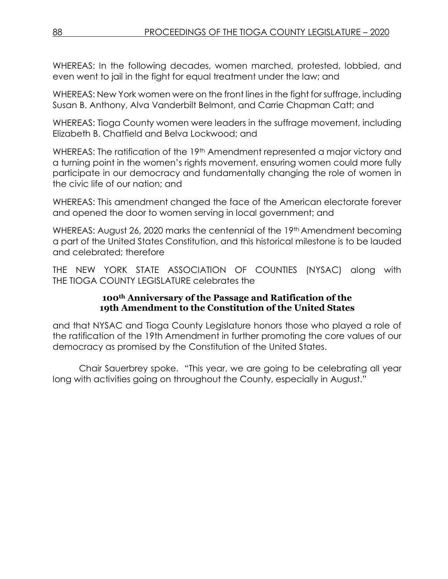WHEREAS: In the following decades, women marched, protested, lobbied, and even went to jail in the fight for equal treatment under the law; and

WHEREAS: New York women were on the front lines in the fight for suffrage, including Susan B. Anthony, Alva Vanderbilt Belmont, and Carrie Chapman Catt; and

WHEREAS: Tioga County women were leaders in the suffrage movement, including Elizabeth B. Chatfield and Belva Lockwood; and

WHEREAS: The ratification of the 19<sup>th</sup> Amendment represented a major victory and a turning point in the women's rights movement, ensuring women could more fully participate in our democracy and fundamentally changing the role of women in the civic life of our nation; and

WHEREAS: This amendment changed the face of the American electorate forever and opened the door to women serving in local government; and

WHEREAS: August 26, 2020 marks the centennial of the 19<sup>th</sup> Amendment becoming a part of the United States Constitution, and this historical milestone is to be lauded and celebrated; therefore

THE NEW YORK STATE ASSOCIATION OF COUNTIES (NYSAC) along with THE TIOGA COUNTY LEGISLATURE celebrates the

### **100th Anniversary of the Passage and Ratification of the 19th Amendment to the Constitution of the United States**

and that NYSAC and Tioga County Legislature honors those who played a role of the ratification of the 19th Amendment in further promoting the core values of our democracy as promised by the Constitution of the United States.

Chair Sauerbrey spoke. "This year, we are going to be celebrating all year long with activities going on throughout the County, especially in August."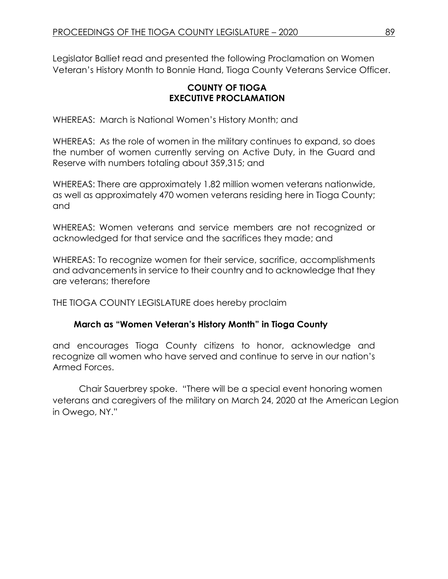Legislator Balliet read and presented the following Proclamation on Women Veteran's History Month to Bonnie Hand, Tioga County Veterans Service Officer.

# **COUNTY OF TIOGA EXECUTIVE PROCLAMATION**

WHEREAS: March is National Women's History Month; and

WHEREAS: As the role of women in the military continues to expand, so does the number of women currently serving on Active Duty, in the Guard and Reserve with numbers totaling about 359,315; and

WHEREAS: There are approximately 1.82 million women veterans nationwide, as well as approximately 470 women veterans residing here in Tioga County; and

WHEREAS: Women veterans and service members are not recognized or acknowledged for that service and the sacrifices they made; and

WHEREAS: To recognize women for their service, sacrifice, accomplishments and advancements in service to their country and to acknowledge that they are veterans; therefore

THE TIOGA COUNTY LEGISLATURE does hereby proclaim

# **March as "Women Veteran's History Month" in Tioga County**

and encourages Tioga County citizens to honor, acknowledge and recognize all women who have served and continue to serve in our nation's Armed Forces.

Chair Sauerbrey spoke. "There will be a special event honoring women veterans and caregivers of the military on March 24, 2020 at the American Legion in Owego, NY."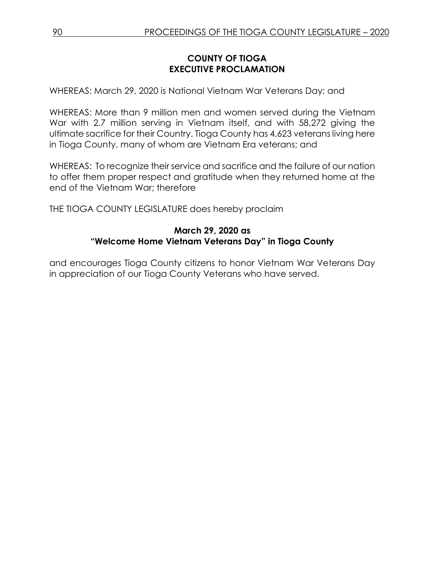# **COUNTY OF TIOGA EXECUTIVE PROCLAMATION**

WHEREAS: March 29, 2020 is National Vietnam War Veterans Day; and

WHEREAS: More than 9 million men and women served during the Vietnam War with 2.7 million serving in Vietnam itself, and with 58,272 giving the ultimate sacrifice for their Country. Tioga County has 4,623 veterans living here in Tioga County, many of whom are Vietnam Era veterans; and

WHEREAS: To recognize their service and sacrifice and the failure of our nation to offer them proper respect and gratitude when they returned home at the end of the Vietnam War; therefore

THE TIOGA COUNTY LEGISLATURE does hereby proclaim

# **March 29, 2020 as "Welcome Home Vietnam Veterans Day" in Tioga County**

and encourages Tioga County citizens to honor Vietnam War Veterans Day in appreciation of our Tioga County Veterans who have served.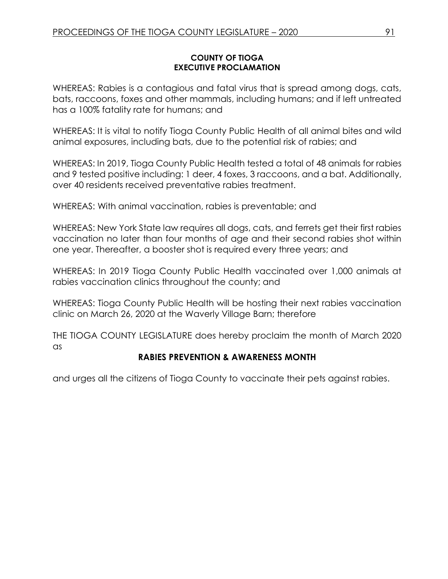#### **COUNTY OF TIOGA EXECUTIVE PROCLAMATION**

WHEREAS: Rabies is a contagious and fatal virus that is spread among dogs, cats, bats, raccoons, foxes and other mammals, including humans; and if left untreated has a 100% fatality rate for humans; and

WHEREAS: It is vital to notify Tioga County Public Health of all animal bites and wild animal exposures, including bats, due to the potential risk of rabies; and

WHEREAS: In 2019, Tioga County Public Health tested a total of 48 animals for rabies and 9 tested positive including: 1 deer, 4 foxes, 3 raccoons, and a bat. Additionally, over 40 residents received preventative rabies treatment.

WHEREAS: With animal vaccination, rabies is preventable; and

WHEREAS: New York State law requires all dogs, cats, and ferrets get their first rabies vaccination no later than four months of age and their second rabies shot within one year. Thereafter, a booster shot is required every three years; and

WHEREAS: In 2019 Tioga County Public Health vaccinated over 1,000 animals at rabies vaccination clinics throughout the county; and

WHEREAS: Tioga County Public Health will be hosting their next rabies vaccination clinic on March 26, 2020 at the Waverly Village Barn; therefore

THE TIOGA COUNTY LEGISLATURE does hereby proclaim the month of March 2020 as

# **RABIES PREVENTION & AWARENESS MONTH**

and urges all the citizens of Tioga County to vaccinate their pets against rabies.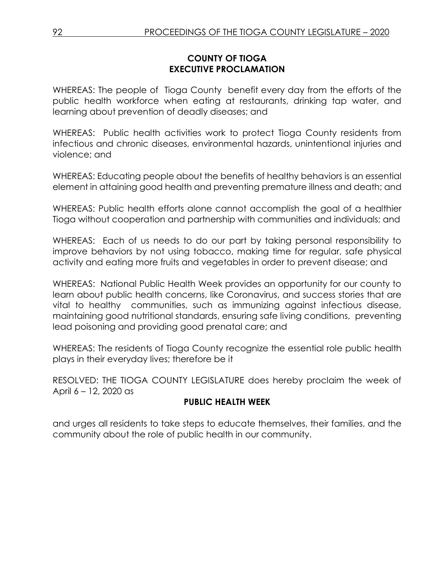# **COUNTY OF TIOGA EXECUTIVE PROCLAMATION**

WHEREAS: The people of Tioga County benefit every day from the efforts of the public health workforce when eating at restaurants, drinking tap water, and learning about prevention of deadly diseases; and

WHEREAS: Public health activities work to protect Tioga County residents from infectious and chronic diseases, environmental hazards, unintentional injuries and violence; and

WHEREAS: Educating people about the benefits of healthy behaviors is an essential element in attaining good health and preventing premature illness and death; and

WHEREAS: Public health efforts alone cannot accomplish the goal of a healthier Tioga without cooperation and partnership with communities and individuals; and

WHEREAS: Each of us needs to do our part by taking personal responsibility to improve behaviors by not using tobacco, making time for regular, safe physical activity and eating more fruits and vegetables in order to prevent disease; and

WHEREAS: National Public Health Week provides an opportunity for our county to learn about public health concerns, like Coronavirus, and success stories that are vital to healthy communities, such as immunizing against infectious disease, maintaining good nutritional standards, ensuring safe living conditions, preventing lead poisoning and providing good prenatal care; and

WHEREAS: The residents of Tioga County recognize the essential role public health plays in their everyday lives; therefore be it

RESOLVED: THE TIOGA COUNTY LEGISLATURE does hereby proclaim the week of April 6 – 12, 2020 as

# **PUBLIC HEALTH WEEK**

and urges all residents to take steps to educate themselves, their families, and the community about the role of public health in our community.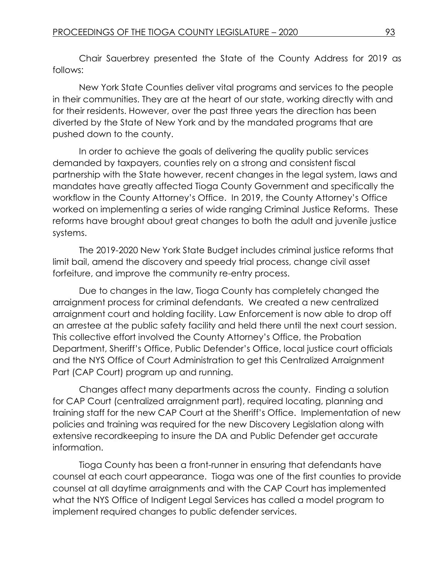Chair Sauerbrey presented the State of the County Address for 2019 as follows:

New York State Counties deliver vital programs and services to the people in their communities. They are at the heart of our state, working directly with and for their residents. However, over the past three years the direction has been diverted by the State of New York and by the mandated programs that are pushed down to the county.

In order to achieve the goals of delivering the quality public services demanded by taxpayers, counties rely on a strong and consistent fiscal partnership with the State however, recent changes in the legal system, laws and mandates have greatly affected Tioga County Government and specifically the workflow in the County Attorney's Office. In 2019, the County Attorney's Office worked on implementing a series of wide ranging Criminal Justice Reforms. These reforms have brought about great changes to both the adult and juvenile justice systems.

The 2019-2020 New York State Budget includes criminal justice reforms that limit bail, amend the discovery and speedy trial process, change civil asset forfeiture, and improve the community re-entry process.

Due to changes in the law, Tioga County has completely changed the arraignment process for criminal defendants. We created a new centralized arraignment court and holding facility. Law Enforcement is now able to drop off an arrestee at the public safety facility and held there until the next court session. This collective effort involved the County Attorney's Office, the Probation Department, Sheriff's Office, Public Defender's Office, local justice court officials and the NYS Office of Court Administration to get this Centralized Arraignment Part (CAP Court) program up and running.

Changes affect many departments across the county. Finding a solution for CAP Court (centralized arraignment part), required locating, planning and training staff for the new CAP Court at the Sheriff's Office. Implementation of new policies and training was required for the new Discovery Legislation along with extensive recordkeeping to insure the DA and Public Defender get accurate information.

Tioga County has been a front-runner in ensuring that defendants have counsel at each court appearance. Tioga was one of the first counties to provide counsel at all daytime arraignments and with the CAP Court has implemented what the NYS Office of Indigent Legal Services has called a model program to implement required changes to public defender services.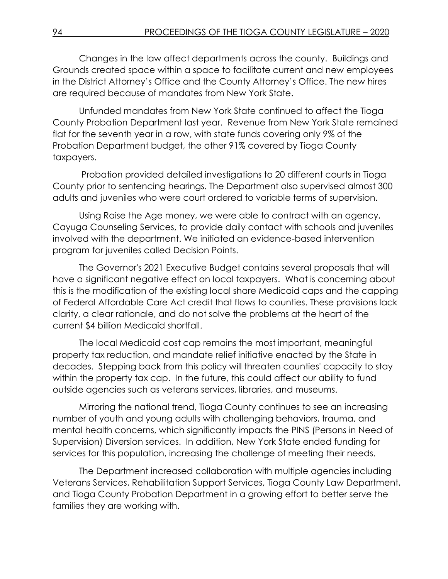Changes in the law affect departments across the county. Buildings and Grounds created space within a space to facilitate current and new employees in the District Attorney's Office and the County Attorney's Office. The new hires are required because of mandates from New York State.

Unfunded mandates from New York State continued to affect the Tioga County Probation Department last year. Revenue from New York State remained flat for the seventh year in a row, with state funds covering only 9% of the Probation Department budget, the other 91% covered by Tioga County taxpayers.

Probation provided detailed investigations to 20 different courts in Tioga County prior to sentencing hearings. The Department also supervised almost 300 adults and juveniles who were court ordered to variable terms of supervision.

Using Raise the Age money, we were able to contract with an agency, Cayuga Counseling Services, to provide daily contact with schools and juveniles involved with the department. We initiated an evidence-based intervention program for juveniles called Decision Points.

The Governor's 2021 Executive Budget contains several proposals that will have a significant negative effect on local taxpayers. What is concerning about this is the modification of the existing local share Medicaid caps and the capping of Federal Affordable Care Act credit that flows to counties. These provisions lack clarity, a clear rationale, and do not solve the problems at the heart of the current \$4 billion Medicaid shortfall.

The local Medicaid cost cap remains the most important, meaningful property tax reduction, and mandate relief initiative enacted by the State in decades. Stepping back from this policy will threaten counties' capacity to stay within the property tax cap. In the future, this could affect our ability to fund outside agencies such as veterans services, libraries, and museums.

Mirroring the national trend, Tioga County continues to see an increasing number of youth and young adults with challenging behaviors, trauma, and mental health concerns, which significantly impacts the PINS (Persons in Need of Supervision) Diversion services. In addition, New York State ended funding for services for this population, increasing the challenge of meeting their needs.

The Department increased collaboration with multiple agencies including Veterans Services, Rehabilitation Support Services, Tioga County Law Department, and Tioga County Probation Department in a growing effort to better serve the families they are working with.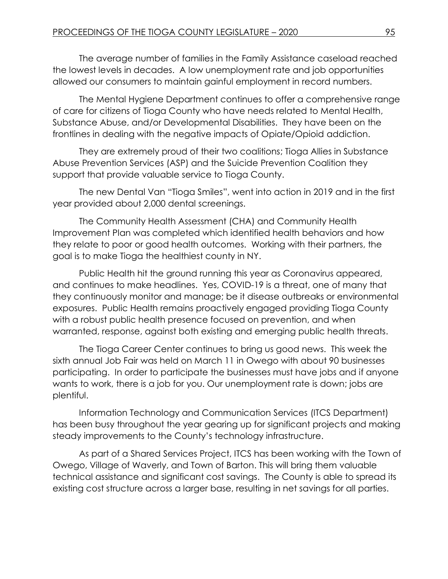The average number of families in the Family Assistance caseload reached the lowest levels in decades. A low unemployment rate and job opportunities allowed our consumers to maintain gainful employment in record numbers.

The Mental Hygiene Department continues to offer a comprehensive range of care for citizens of Tioga County who have needs related to Mental Health, Substance Abuse, and/or Developmental Disabilities. They have been on the frontlines in dealing with the negative impacts of Opiate/Opioid addiction.

They are extremely proud of their two coalitions; Tioga Allies in Substance Abuse Prevention Services (ASP) and the Suicide Prevention Coalition they support that provide valuable service to Tioga County.

The new Dental Van "Tioga Smiles", went into action in 2019 and in the first year provided about 2,000 dental screenings.

The Community Health Assessment (CHA) and Community Health Improvement Plan was completed which identified health behaviors and how they relate to poor or good health outcomes. Working with their partners, the goal is to make Tioga the healthiest county in NY.

Public Health hit the ground running this year as Coronavirus appeared, and continues to make headlines. Yes, COVID-19 is a threat, one of many that they continuously monitor and manage; be it disease outbreaks or environmental exposures. Public Health remains proactively engaged providing Tioga County with a robust public health presence focused on prevention, and when warranted, response, against both existing and emerging public health threats.

The Tioga Career Center continues to bring us good news. This week the sixth annual Job Fair was held on March 11 in Owego with about 90 businesses participating. In order to participate the businesses must have jobs and if anyone wants to work, there is a job for you. Our unemployment rate is down; jobs are plentiful.

Information Technology and Communication Services (ITCS Department) has been busy throughout the year gearing up for significant projects and making steady improvements to the County's technology infrastructure.

As part of a Shared Services Project, ITCS has been working with the Town of Owego, Village of Waverly, and Town of Barton. This will bring them valuable technical assistance and significant cost savings. The County is able to spread its existing cost structure across a larger base, resulting in net savings for all parties.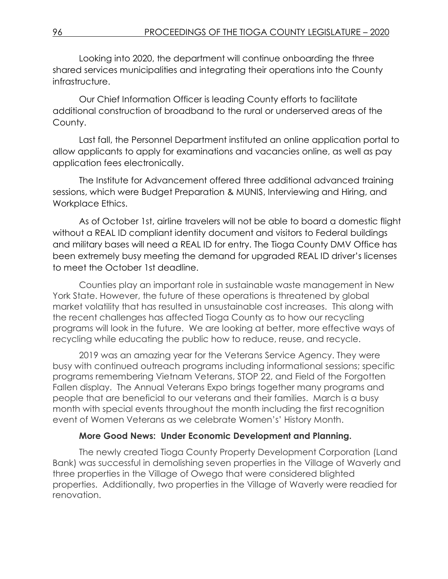Looking into 2020, the department will continue onboarding the three shared services municipalities and integrating their operations into the County infrastructure.

Our Chief Information Officer is leading County efforts to facilitate additional construction of broadband to the rural or underserved areas of the County.

Last fall, the Personnel Department instituted an online application portal to allow applicants to apply for examinations and vacancies online, as well as pay application fees electronically.

The Institute for Advancement offered three additional advanced training sessions, which were Budget Preparation & MUNIS, Interviewing and Hiring, and Workplace Ethics.

As of October 1st, airline travelers will not be able to board a domestic flight without a REAL ID compliant identity document and visitors to Federal buildings and military bases will need a REAL ID for entry. The Tioga County DMV Office has been extremely busy meeting the demand for upgraded REAL ID driver's licenses to meet the October 1st deadline.

Counties play an important role in sustainable waste management in New York State. However, the future of these operations is threatened by global market volatility that has resulted in unsustainable cost increases. This along with the recent challenges has affected Tioga County as to how our recycling programs will look in the future. We are looking at better, more effective ways of recycling while educating the public how to reduce, reuse, and recycle.

2019 was an amazing year for the Veterans Service Agency. They were busy with continued outreach programs including informational sessions; specific programs remembering Vietnam Veterans, STOP 22, and Field of the Forgotten Fallen display. The Annual Veterans Expo brings together many programs and people that are beneficial to our veterans and their families. March is a busy month with special events throughout the month including the first recognition event of Women Veterans as we celebrate Women's' History Month.

### **More Good News: Under Economic Development and Planning.**

The newly created Tioga County Property Development Corporation (Land Bank) was successful in demolishing seven properties in the Village of Waverly and three properties in the Village of Owego that were considered blighted properties. Additionally, two properties in the Village of Waverly were readied for renovation.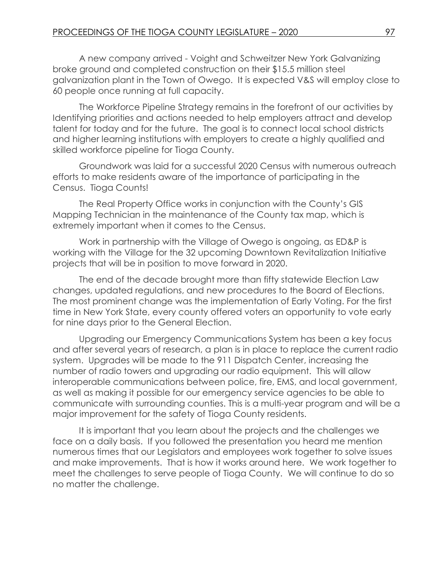A new company arrived - Voight and Schweitzer New York Galvanizing broke ground and completed construction on their \$15.5 million steel galvanization plant in the Town of Owego. It is expected V&S will employ close to 60 people once running at full capacity.

The Workforce Pipeline Strategy remains in the forefront of our activities by Identifying priorities and actions needed to help employers attract and develop talent for today and for the future. The goal is to connect local school districts and higher learning institutions with employers to create a highly qualified and skilled workforce pipeline for Tioga County.

Groundwork was laid for a successful 2020 Census with numerous outreach efforts to make residents aware of the importance of participating in the Census. Tioga Counts!

The Real Property Office works in conjunction with the County's GIS Mapping Technician in the maintenance of the County tax map, which is extremely important when it comes to the Census.

Work in partnership with the Village of Owego is ongoing, as ED&P is working with the Village for the 32 upcoming Downtown Revitalization Initiative projects that will be in position to move forward in 2020.

The end of the decade brought more than fifty statewide Election Law changes, updated regulations, and new procedures to the Board of Elections. The most prominent change was the implementation of Early Voting. For the first time in New York State, every county offered voters an opportunity to vote early for nine days prior to the General Election.

Upgrading our Emergency Communications System has been a key focus and after several years of research, a plan is in place to replace the current radio system. Upgrades will be made to the 911 Dispatch Center, increasing the number of radio towers and upgrading our radio equipment. This will allow interoperable communications between police, fire, EMS, and local government, as well as making it possible for our emergency service agencies to be able to communicate with surrounding counties. This is a multi-year program and will be a major improvement for the safety of Tioga County residents.

It is important that you learn about the projects and the challenges we face on a daily basis. If you followed the presentation you heard me mention numerous times that our Legislators and employees work together to solve issues and make improvements. That is how it works around here. We work together to meet the challenges to serve people of Tioga County. We will continue to do so no matter the challenge.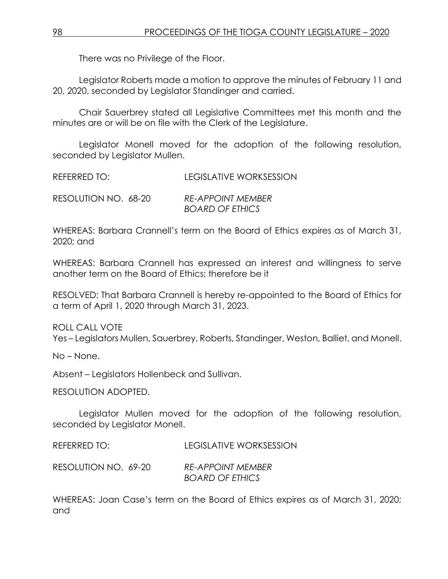There was no Privilege of the Floor.

Legislator Roberts made a motion to approve the minutes of February 11 and 20, 2020, seconded by Legislator Standinger and carried.

Chair Sauerbrey stated all Legislative Committees met this month and the minutes are or will be on file with the Clerk of the Legislature.

Legislator Monell moved for the adoption of the following resolution, seconded by Legislator Mullen.

REFERRED TO: LEGISLATIVE WORKSESSION

| RESOLUTION NO. 68-20 | <b>RE-APPOINT MEMBER</b> |
|----------------------|--------------------------|
|                      | <b>BOARD OF ETHICS</b>   |

WHEREAS: Barbara Crannell's term on the Board of Ethics expires as of March 31, 2020; and

WHEREAS: Barbara Crannell has expressed an interest and willingness to serve another term on the Board of Ethics; therefore be it

RESOLVED: That Barbara Crannell is hereby re-appointed to the Board of Ethics for a term of April 1, 2020 through March 31, 2023.

ROLL CALL VOTE

Yes – Legislators Mullen, Sauerbrey, Roberts, Standinger, Weston, Balliet, and Monell.

No – None.

Absent – Legislators Hollenbeck and Sullivan.

RESOLUTION ADOPTED.

Legislator Mullen moved for the adoption of the following resolution, seconded by Legislator Monell.

REFERRED TO: LEGISLATIVE WORKSESSION

RESOLUTION NO. 69-20 *RE-APPOINT MEMBER BOARD OF ETHICS*

WHEREAS: Joan Case's term on the Board of Ethics expires as of March 31, 2020; and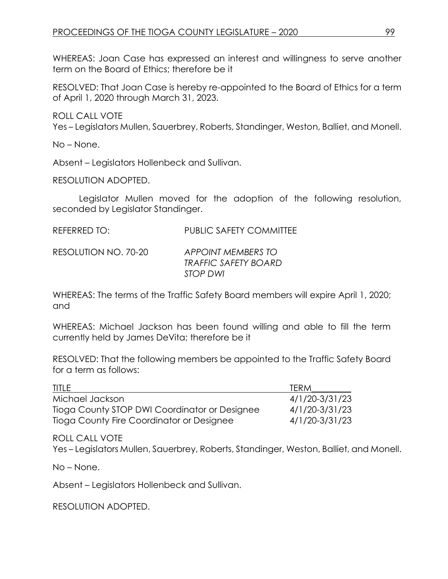WHEREAS: Joan Case has expressed an interest and willingness to serve another term on the Board of Ethics; therefore be it

RESOLVED: That Joan Case is hereby re-appointed to the Board of Ethics for a term of April 1, 2020 through March 31, 2023.

ROLL CALL VOTE

Yes – Legislators Mullen, Sauerbrey, Roberts, Standinger, Weston, Balliet, and Monell.

No – None.

Absent – Legislators Hollenbeck and Sullivan.

RESOLUTION ADOPTED.

Legislator Mullen moved for the adoption of the following resolution, seconded by Legislator Standinger.

| <b>REFERRED TO:</b> | <b>PUBLIC SAFETY COMMITTEE</b> |
|---------------------|--------------------------------|
|                     |                                |

| RESOLUTION NO. 70-20 | <b>APPOINT MEMBERS TO</b>   |
|----------------------|-----------------------------|
|                      | <b>TRAFFIC SAFETY BOARD</b> |
|                      | STOP DWI                    |

WHEREAS: The terms of the Traffic Safety Board members will expire April 1, 2020; and

WHEREAS: Michael Jackson has been found willing and able to fill the term currently held by James DeVita; therefore be it

RESOLVED: That the following members be appointed to the Traffic Safety Board for a term as follows:

| <b>TITLE</b>                                  | <b>TFRM</b>    |
|-----------------------------------------------|----------------|
| Michael Jackson                               | 4/1/20-3/31/23 |
| Tioga County STOP DWI Coordinator or Designee | 4/1/20-3/31/23 |
| Tioga County Fire Coordinator or Designee     | 4/1/20-3/31/23 |

ROLL CALL VOTE

Yes – Legislators Mullen, Sauerbrey, Roberts, Standinger, Weston, Balliet, and Monell.

No – None.

Absent – Legislators Hollenbeck and Sullivan.

RESOLUTION ADOPTED.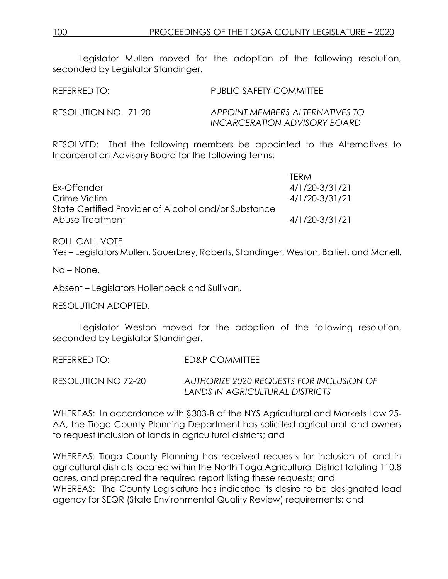Legislator Mullen moved for the adoption of the following resolution, seconded by Legislator Standinger.

| REFERRED TO:         | <b>PUBLIC SAFETY COMMITTEE</b>                                  |
|----------------------|-----------------------------------------------------------------|
| RESOLUTION NO. 71-20 | APPOINT MEMBERS ALTERNATIVES TO<br>INCARCERATION ADVISORY BOARD |

RESOLVED: That the following members be appointed to the Alternatives to Incarceration Advisory Board for the following terms:

|                                                      | <b>TERM</b>    |
|------------------------------------------------------|----------------|
| Ex-Offender                                          | 4/1/20-3/31/21 |
| Crime Victim                                         | 4/1/20-3/31/21 |
| State Certified Provider of Alcohol and/or Substance |                |
| Abuse Treatment                                      | 4/1/20-3/31/21 |

ROLL CALL VOTE Yes – Legislators Mullen, Sauerbrey, Roberts, Standinger, Weston, Balliet, and Monell.

No – None.

Absent – Legislators Hollenbeck and Sullivan.

RESOLUTION ADOPTED.

Legislator Weston moved for the adoption of the following resolution, seconded by Legislator Standinger.

REFERRED TO: ED&P COMMITTEE

RESOLUTION NO 72-20 *AUTHORIZE 2020 REQUESTS FOR INCLUSION OF LANDS IN AGRICULTURAL DISTRICTS*

WHEREAS: In accordance with §303-B of the NYS Agricultural and Markets Law 25- AA, the Tioga County Planning Department has solicited agricultural land owners to request inclusion of lands in agricultural districts; and

WHEREAS: Tioga County Planning has received requests for inclusion of land in agricultural districts located within the North Tioga Agricultural District totaling 110.8 acres, and prepared the required report listing these requests; and WHEREAS: The County Legislature has indicated its desire to be designated lead agency for SEQR (State Environmental Quality Review) requirements; and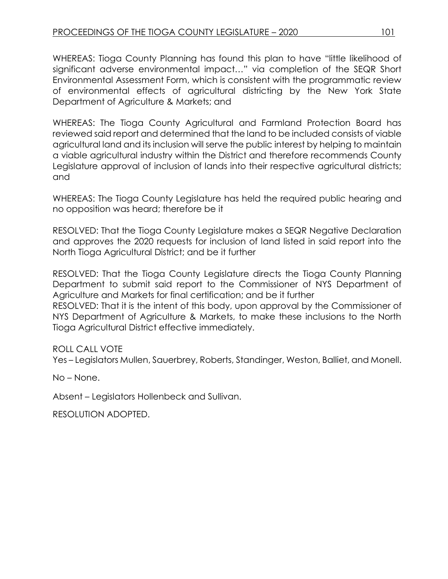WHEREAS: Tioga County Planning has found this plan to have "little likelihood of significant adverse environmental impact…" via completion of the SEQR Short Environmental Assessment Form, which is consistent with the programmatic review of environmental effects of agricultural districting by the New York State Department of Agriculture & Markets; and

WHEREAS: The Tioga County Agricultural and Farmland Protection Board has reviewed said report and determined that the land to be included consists of viable agricultural land and its inclusion will serve the public interest by helping to maintain a viable agricultural industry within the District and therefore recommends County Legislature approval of inclusion of lands into their respective agricultural districts; and

WHEREAS: The Tioga County Legislature has held the required public hearing and no opposition was heard; therefore be it

RESOLVED: That the Tioga County Legislature makes a SEQR Negative Declaration and approves the 2020 requests for inclusion of land listed in said report into the North Tioga Agricultural District; and be it further

RESOLVED: That the Tioga County Legislature directs the Tioga County Planning Department to submit said report to the Commissioner of NYS Department of Agriculture and Markets for final certification; and be it further

RESOLVED: That it is the intent of this body, upon approval by the Commissioner of NYS Department of Agriculture & Markets, to make these inclusions to the North Tioga Agricultural District effective immediately.

ROLL CALL VOTE

Yes – Legislators Mullen, Sauerbrey, Roberts, Standinger, Weston, Balliet, and Monell.

No – None.

Absent – Legislators Hollenbeck and Sullivan.

RESOLUTION ADOPTED.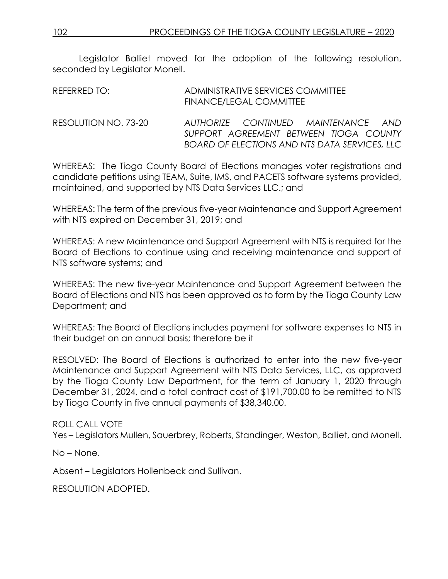Legislator Balliet moved for the adoption of the following resolution, seconded by Legislator Monell.

| AUTHORIZE CONTINUED MAINTENANCE AND<br>SUPPORT AGREEMENT BETWEEN TIOGA COUNTY |                                               |
|-------------------------------------------------------------------------------|-----------------------------------------------|
|                                                                               | BOARD OF ELECTIONS AND NTS DATA SERVICES, LLC |

WHEREAS: The Tioga County Board of Elections manages voter registrations and candidate petitions using TEAM, Suite, IMS, and PACETS software systems provided, maintained, and supported by NTS Data Services LLC.; and

WHEREAS: The term of the previous five-year Maintenance and Support Agreement with NTS expired on December 31, 2019; and

WHEREAS: A new Maintenance and Support Agreement with NTS is required for the Board of Elections to continue using and receiving maintenance and support of NTS software systems; and

WHEREAS: The new five-year Maintenance and Support Agreement between the Board of Elections and NTS has been approved as to form by the Tioga County Law Department; and

WHEREAS: The Board of Elections includes payment for software expenses to NTS in their budget on an annual basis; therefore be it

RESOLVED: The Board of Elections is authorized to enter into the new five-year Maintenance and Support Agreement with NTS Data Services, LLC, as approved by the Tioga County Law Department, for the term of January 1, 2020 through December 31, 2024, and a total contract cost of \$191,700.00 to be remitted to NTS by Tioga County in five annual payments of \$38,340.00.

ROLL CALL VOTE Yes – Legislators Mullen, Sauerbrey, Roberts, Standinger, Weston, Balliet, and Monell.

No – None.

Absent – Legislators Hollenbeck and Sullivan.

RESOLUTION ADOPTED.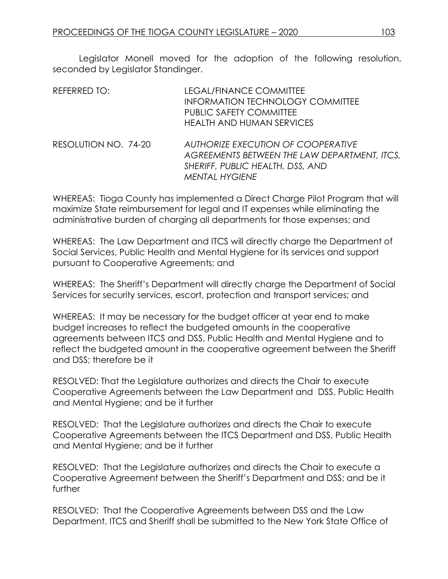Legislator Monell moved for the adoption of the following resolution, seconded by Legislator Standinger.

| REFERRED TO:         | LEGAL/FINANCE COMMITTEE<br><b>INFORMATION TECHNOLOGY COMMITTEE</b><br><b>PUBLIC SAFETY COMMITTEE</b><br><b>HEALTH AND HUMAN SERVICES</b>               |
|----------------------|--------------------------------------------------------------------------------------------------------------------------------------------------------|
| RESOLUTION NO. 74-20 | <b>AUTHORIZE EXECUTION OF COOPERATIVE</b><br>AGREEMENTS BETWEEN THE LAW DEPARTMENT, ITCS,<br>SHERIFF, PUBLIC HEALTH, DSS, AND<br><b>MENTAL HYGIENE</b> |

WHEREAS: Tioga County has implemented a Direct Charge Pilot Program that will maximize State reimbursement for legal and IT expenses while eliminating the administrative burden of charging all departments for those expenses; and

WHEREAS: The Law Department and ITCS will directly charge the Department of Social Services, Public Health and Mental Hygiene for its services and support pursuant to Cooperative Agreements; and

WHEREAS: The Sheriff's Department will directly charge the Department of Social Services for security services, escort, protection and transport services; and

WHEREAS: It may be necessary for the budget officer at year end to make budget increases to reflect the budgeted amounts in the cooperative agreements between ITCS and DSS, Public Health and Mental Hygiene and to reflect the budgeted amount in the cooperative agreement between the Sheriff and DSS; therefore be it

RESOLVED: That the Legislature authorizes and directs the Chair to execute Cooperative Agreements between the Law Department and DSS, Public Health and Mental Hygiene; and be it further

RESOLVED: That the Legislature authorizes and directs the Chair to execute Cooperative Agreements between the ITCS Department and DSS, Public Health and Mental Hygiene; and be it further

RESOLVED: That the Legislature authorizes and directs the Chair to execute a Cooperative Agreement between the Sheriff's Department and DSS; and be it further

RESOLVED: That the Cooperative Agreements between DSS and the Law Department, ITCS and Sheriff shall be submitted to the New York State Office of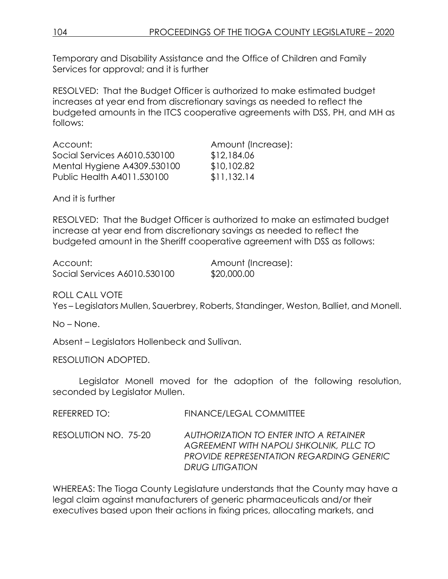Temporary and Disability Assistance and the Office of Children and Family Services for approval; and it is further

RESOLVED: That the Budget Officer is authorized to make estimated budget increases at year end from discretionary savings as needed to reflect the budgeted amounts in the ITCS cooperative agreements with DSS, PH, and MH as follows:

| Account:                     | Amount (Increase): |
|------------------------------|--------------------|
| Social Services A6010.530100 | \$12,184.06        |
| Mental Hygiene A4309.530100  | \$10,102.82        |
| Public Health A4011.530100   | \$11,132.14        |
|                              |                    |

And it is further

RESOLVED: That the Budget Officer is authorized to make an estimated budget increase at year end from discretionary savings as needed to reflect the budgeted amount in the Sheriff cooperative agreement with DSS as follows:

| Account:                     | Amount (Increase): |
|------------------------------|--------------------|
| Social Services A6010.530100 | \$20,000.00        |

ROLL CALL VOTE

Yes – Legislators Mullen, Sauerbrey, Roberts, Standinger, Weston, Balliet, and Monell.

No – None.

Absent – Legislators Hollenbeck and Sullivan.

RESOLUTION ADOPTED.

Legislator Monell moved for the adoption of the following resolution, seconded by Legislator Mullen.

| REFERRED TO: | <b>FINANCE/LEGAL COMMITTEE</b> |
|--------------|--------------------------------|
|              |                                |

RESOLUTION NO. 75-20 *AUTHORIZATION TO ENTER INTO A RETAINER AGREEMENT WITH NAPOLI SHKOLNIK, PLLC TO PROVIDE REPRESENTATION REGARDING GENERIC DRUG LITIGATION*

WHEREAS: The Tioga County Legislature understands that the County may have a legal claim against manufacturers of generic pharmaceuticals and/or their executives based upon their actions in fixing prices, allocating markets, and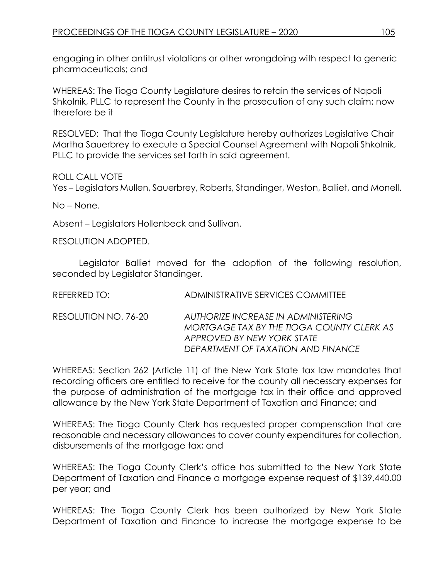engaging in other antitrust violations or other wrongdoing with respect to generic pharmaceuticals; and

WHEREAS: The Tioga County Legislature desires to retain the services of Napoli Shkolnik, PLLC to represent the County in the prosecution of any such claim; now therefore be it

RESOLVED: That the Tioga County Legislature hereby authorizes Legislative Chair Martha Sauerbrey to execute a Special Counsel Agreement with Napoli Shkolnik, PLLC to provide the services set forth in said agreement.

ROLL CALL VOTE

Yes – Legislators Mullen, Sauerbrey, Roberts, Standinger, Weston, Balliet, and Monell.

No – None.

Absent – Legislators Hollenbeck and Sullivan.

RESOLUTION ADOPTED.

Legislator Balliet moved for the adoption of the following resolution, seconded by Legislator Standinger.

| REFERRED TO:         | ADMINISTRATIVE SERVICES COMMITTEE         |
|----------------------|-------------------------------------------|
| RESOLUTION NO. 76-20 | AUTHORIZE INCREASE IN ADMINISTERING       |
|                      | MORTGAGE TAX BY THE TIOGA COUNTY CLERK AS |

*APPROVED BY NEW YORK STATE DEPARTMENT OF TAXATION AND FINANCE* WHEREAS: Section 262 (Article 11) of the New York State tax law mandates that

recording officers are entitled to receive for the county all necessary expenses for the purpose of administration of the mortgage tax in their office and approved allowance by the New York State Department of Taxation and Finance; and

WHEREAS: The Tioga County Clerk has requested proper compensation that are reasonable and necessary allowances to cover county expenditures for collection, disbursements of the mortgage tax; and

WHEREAS: The Tioga County Clerk's office has submitted to the New York State Department of Taxation and Finance a mortgage expense request of \$139,440.00 per year; and

WHEREAS: The Tioga County Clerk has been authorized by New York State Department of Taxation and Finance to increase the mortgage expense to be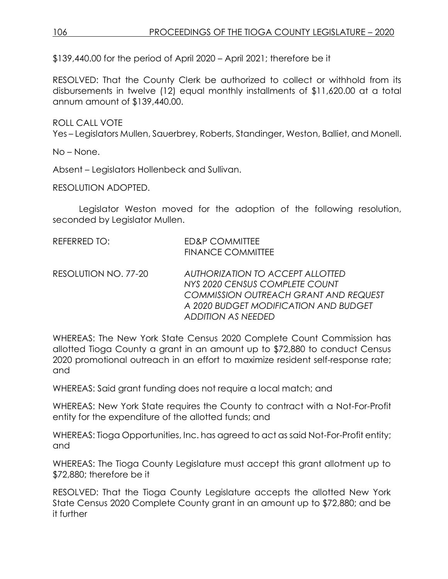\$139,440.00 for the period of April 2020 – April 2021; therefore be it

RESOLVED: That the County Clerk be authorized to collect or withhold from its disbursements in twelve (12) equal monthly installments of \$11,620.00 at a total annum amount of \$139,440.00.

ROLL CALL VOTE

Yes – Legislators Mullen, Sauerbrey, Roberts, Standinger, Weston, Balliet, and Monell.

No – None.

Absent – Legislators Hollenbeck and Sullivan.

RESOLUTION ADOPTED.

Legislator Weston moved for the adoption of the following resolution, seconded by Legislator Mullen.

| REFERRED TO:         | ED&P COMMITTEE<br><b>FINANCE COMMITTEE</b>                                                                         |
|----------------------|--------------------------------------------------------------------------------------------------------------------|
| RESOLUTION NO. 77-20 | AUTHORIZATION TO ACCEPT ALLOTTED<br>NYS 2020 CENSUS COMPLETE COUNT<br><b>COMMISSION OUTREACH GRANT AND REQUEST</b> |
|                      | A 2020 BUDGET MODIFICATION AND BUDGET<br><b>ADDITION AS NEEDED</b>                                                 |

WHEREAS: The New York State Census 2020 Complete Count Commission has allotted Tioga County a grant in an amount up to \$72,880 to conduct Census 2020 promotional outreach in an effort to maximize resident self-response rate; and

WHEREAS: Said grant funding does not require a local match; and

WHEREAS: New York State requires the County to contract with a Not-For-Profit entity for the expenditure of the allotted funds; and

WHEREAS: Tioga Opportunities, Inc. has agreed to act as said Not-For-Profit entity; and

WHEREAS: The Tioga County Legislature must accept this grant allotment up to \$72,880; therefore be it

RESOLVED: That the Tioga County Legislature accepts the allotted New York State Census 2020 Complete County grant in an amount up to \$72,880; and be it further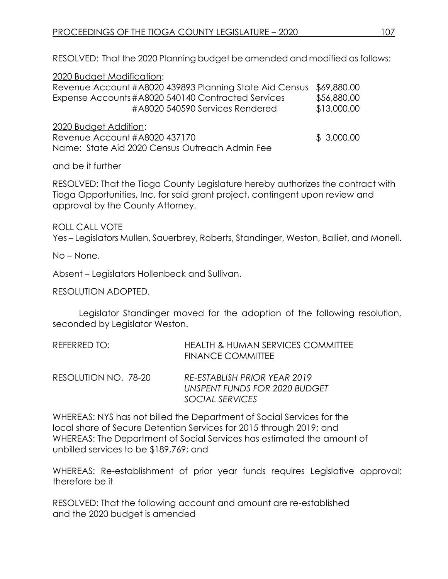RESOLVED: That the 2020 Planning budget be amended and modified as follows:

| 2020 Budget Modification:                               |             |
|---------------------------------------------------------|-------------|
| Revenue Account #A8020 439893 Planning State Aid Census | \$69,880.00 |
| Expense Accounts #A8020 540140 Contracted Services      | \$56,880.00 |
| #A8020 540590 Services Rendered                         | \$13,000.00 |
| 2020 Budget Addition:                                   |             |
| Revenue Account #A8020 437170                           | \$3,000.00  |
| Name: State Aid 2020 Census Outreach Admin Fee          |             |

### and be it further

RESOLVED: That the Tioga County Legislature hereby authorizes the contract with Tioga Opportunities, Inc. for said grant project, contingent upon review and approval by the County Attorney.

ROLL CALL VOTE Yes – Legislators Mullen, Sauerbrey, Roberts, Standinger, Weston, Balliet, and Monell.

No – None.

Absent – Legislators Hollenbeck and Sullivan.

#### RESOLUTION ADOPTED.

Legislator Standinger moved for the adoption of the following resolution, seconded by Legislator Weston.

| REFERRED TO: | <b>HEALTH &amp; HUMAN SERVICES COMMITTEE</b> |
|--------------|----------------------------------------------|
|              | <b>FINANCE COMMITTEE</b>                     |

RESOLUTION NO. 78-20 *RE-ESTABLISH PRIOR YEAR 2019 UNSPENT FUNDS FOR 2020 BUDGET SOCIAL SERVICES*

WHEREAS: NYS has not billed the Department of Social Services for the local share of Secure Detention Services for 2015 through 2019; and WHEREAS: The Department of Social Services has estimated the amount of unbilled services to be \$189,769; and

WHEREAS: Re-establishment of prior year funds requires Legislative approval; therefore be it

RESOLVED: That the following account and amount are re-established and the 2020 budget is amended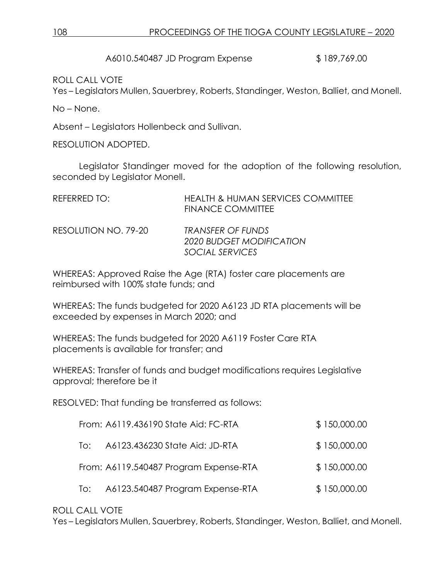A6010.540487 JD Program Expense  $$189,769.00$ 

ROLL CALL VOTE

Yes – Legislators Mullen, Sauerbrey, Roberts, Standinger, Weston, Balliet, and Monell.

No – None.

Absent – Legislators Hollenbeck and Sullivan.

RESOLUTION ADOPTED.

Legislator Standinger moved for the adoption of the following resolution, seconded by Legislator Monell.

| REFERRED TO:         | <b>HEALTH &amp; HUMAN SERVICES COMMITTEE</b><br><b>FINANCE COMMITTEE</b> |
|----------------------|--------------------------------------------------------------------------|
| RESOLUTION NO. 79-20 | <b>TRANSFER OF FUNDS</b><br>2020 BUDGET MODIFICATION                     |
|                      | SOCIAL SERVICES                                                          |

WHEREAS: Approved Raise the Age (RTA) foster care placements are reimbursed with 100% state funds; and

WHEREAS: The funds budgeted for 2020 A6123 JD RTA placements will be exceeded by expenses in March 2020; and

WHEREAS: The funds budgeted for 2020 A6119 Foster Care RTA placements is available for transfer; and

WHEREAS: Transfer of funds and budget modifications requires Legislative approval; therefore be it

RESOLVED: That funding be transferred as follows:

|     | From: A6119.436190 State Aid: FC-RTA   | \$150,000.00 |
|-----|----------------------------------------|--------------|
| To: | A6123.436230 State Aid: JD-RTA         | \$150,000.00 |
|     | From: A6119.540487 Program Expense-RTA | \$150,000.00 |
| To: | A6123.540487 Program Expense-RTA       | \$150,000.00 |

### ROLL CALL VOTE

Yes – Legislators Mullen, Sauerbrey, Roberts, Standinger, Weston, Balliet, and Monell.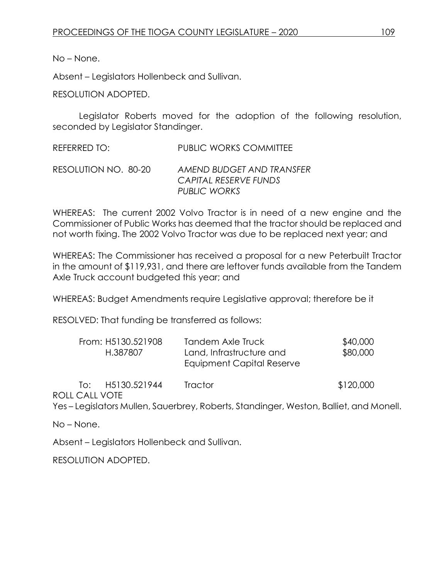No – None.

Absent – Legislators Hollenbeck and Sullivan.

RESOLUTION ADOPTED.

Legislator Roberts moved for the adoption of the following resolution, seconded by Legislator Standinger.

REFERRED TO: PUBLIC WORKS COMMITTEE

RESOLUTION NO. 80-20 *AMEND BUDGET AND TRANSFER CAPITAL RESERVE FUNDS PUBLIC WORKS*

WHEREAS: The current 2002 Volvo Tractor is in need of a new engine and the Commissioner of Public Works has deemed that the tractor should be replaced and not worth fixing. The 2002 Volvo Tractor was due to be replaced next year; and

WHEREAS: The Commissioner has received a proposal for a new Peterbuilt Tractor in the amount of \$119,931, and there are leftover funds available from the Tandem Axle Truck account budgeted this year; and

WHEREAS: Budget Amendments require Legislative approval; therefore be it

RESOLVED: That funding be transferred as follows:

| From: H5130.521908<br>H.387807    | Tandem Axle Truck<br>Land, Infrastructure and<br>Equipment Capital Reserve | \$40,000<br>\$80,000 |
|-----------------------------------|----------------------------------------------------------------------------|----------------------|
| H5130.521944<br>lo:<br>LOALL VOTE | <b>Tractor</b>                                                             | \$120,000            |

ROLL CALL VOTE

Yes – Legislators Mullen, Sauerbrey, Roberts, Standinger, Weston, Balliet, and Monell.

No – None.

Absent – Legislators Hollenbeck and Sullivan.

RESOLUTION ADOPTED.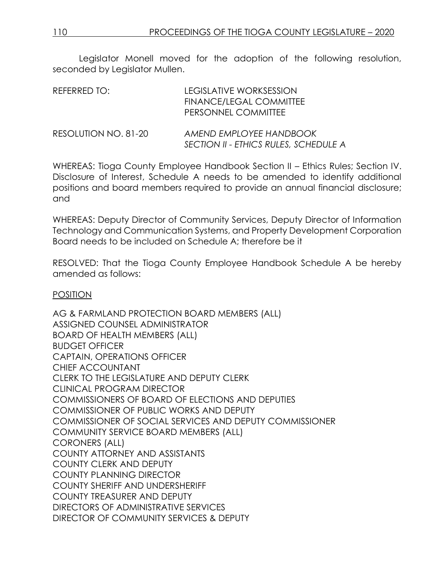Legislator Monell moved for the adoption of the following resolution, seconded by Legislator Mullen.

| REFERRED TO:         | LEGISLATIVE WORKSESSION<br>FINANCE/LEGAL COMMITTEE<br>PERSONNEL COMMITTEE |
|----------------------|---------------------------------------------------------------------------|
| RESOLUTION NO. 81-20 | AMEND EMPLOYEE HANDBOOK                                                   |

*SECTION II - ETHICS RULES, SCHEDULE A* WHEREAS: Tioga County Employee Handbook Section II – Ethics Rules; Section IV.

Disclosure of Interest, Schedule A needs to be amended to identify additional positions and board members required to provide an annual financial disclosure; and

WHEREAS: Deputy Director of Community Services, Deputy Director of Information Technology and Communication Systems, and Property Development Corporation Board needs to be included on Schedule A; therefore be it

RESOLVED: That the Tioga County Employee Handbook Schedule A be hereby amended as follows:

#### POSITION

AG & FARMLAND PROTECTION BOARD MEMBERS (ALL) ASSIGNED COUNSEL ADMINISTRATOR BOARD OF HEALTH MEMBERS (ALL) BUDGET OFFICER CAPTAIN, OPERATIONS OFFICER CHIEF ACCOUNTANT CLERK TO THE LEGISLATURE AND DEPUTY CLERK CLINICAL PROGRAM DIRECTOR COMMISSIONERS OF BOARD OF ELECTIONS AND DEPUTIES COMMISSIONER OF PUBLIC WORKS AND DEPUTY COMMISSIONER OF SOCIAL SERVICES AND DEPUTY COMMISSIONER COMMUNITY SERVICE BOARD MEMBERS (ALL) CORONERS (ALL) COUNTY ATTORNEY AND ASSISTANTS COUNTY CLERK AND DEPUTY COUNTY PLANNING DIRECTOR COUNTY SHERIFF AND UNDERSHERIFF COUNTY TREASURER AND DEPUTY DIRECTORS OF ADMINISTRATIVE SERVICES DIRECTOR OF COMMUNITY SERVICES & DEPUTY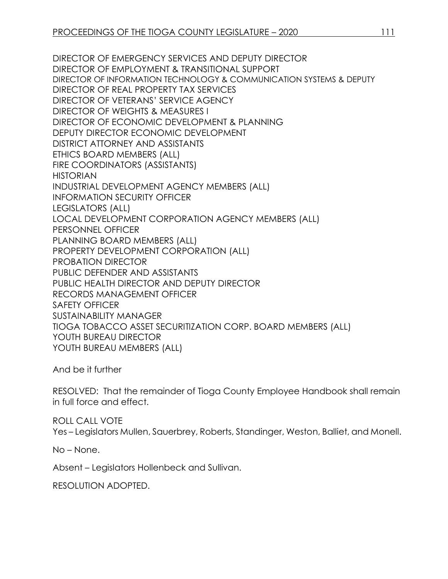DIRECTOR OF EMERGENCY SERVICES AND DEPUTY DIRECTOR DIRECTOR OF EMPLOYMENT & TRANSITIONAL SUPPORT DIRECTOR OF INFORMATION TECHNOLOGY & COMMUNICATION SYSTEMS & DEPUTY DIRECTOR OF REAL PROPERTY TAX SERVICES DIRECTOR OF VETERANS' SERVICE AGENCY DIRECTOR OF WEIGHTS & MEASURES I DIRECTOR OF ECONOMIC DEVELOPMENT & PLANNING DEPUTY DIRECTOR ECONOMIC DEVELOPMENT DISTRICT ATTORNEY AND ASSISTANTS ETHICS BOARD MEMBERS (ALL) FIRE COORDINATORS (ASSISTANTS) HISTORIAN INDUSTRIAL DEVELOPMENT AGENCY MEMBERS (ALL) INFORMATION SECURITY OFFICER LEGISLATORS (ALL) LOCAL DEVELOPMENT CORPORATION AGENCY MEMBERS (ALL) PERSONNEL OFFICER PLANNING BOARD MEMBERS (ALL) PROPERTY DEVELOPMENT CORPORATION (ALL) PROBATION DIRECTOR PUBLIC DEFENDER AND ASSISTANTS PUBLIC HEALTH DIRECTOR AND DEPUTY DIRECTOR RECORDS MANAGEMENT OFFICER SAFETY OFFICER SUSTAINABILITY MANAGER TIOGA TOBACCO ASSET SECURITIZATION CORP. BOARD MEMBERS (ALL) YOUTH BUREAU DIRECTOR YOUTH BUREAU MEMBERS (ALL)

And be it further

RESOLVED: That the remainder of Tioga County Employee Handbook shall remain in full force and effect.

ROLL CALL VOTE Yes – Legislators Mullen, Sauerbrey, Roberts, Standinger, Weston, Balliet, and Monell.

No – None.

Absent – Legislators Hollenbeck and Sullivan.

RESOLUTION ADOPTED.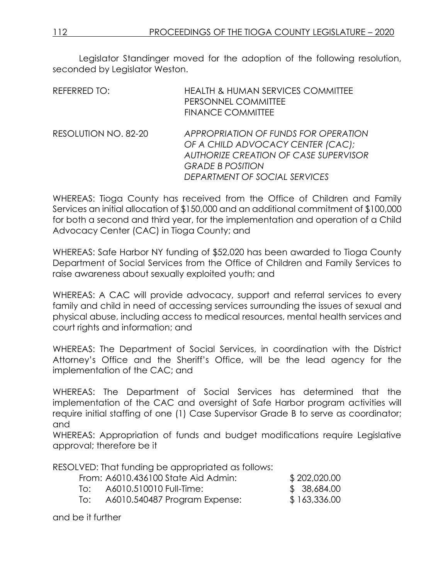Legislator Standinger moved for the adoption of the following resolution, seconded by Legislator Weston.

| <b>REFERRED TO:</b>  | <b>HEALTH &amp; HUMAN SERVICES COMMITTEE</b><br>PERSONNEL COMMITTEE<br><b>FINANCE COMMITTEE</b>                                                                                       |
|----------------------|---------------------------------------------------------------------------------------------------------------------------------------------------------------------------------------|
| RESOLUTION NO. 82-20 | APPROPRIATION OF FUNDS FOR OPERATION<br>OF A CHILD ADVOCACY CENTER (CAC);<br><b>AUTHORIZE CREATION OF CASE SUPERVISOR</b><br><b>GRADE B POSITION</b><br>DEPARTMENT OF SOCIAL SERVICES |

WHEREAS: Tioga County has received from the Office of Children and Family Services an initial allocation of \$150,000 and an additional commitment of \$100,000 for both a second and third year, for the implementation and operation of a Child Advocacy Center (CAC) in Tioga County; and

WHEREAS: Safe Harbor NY funding of \$52,020 has been awarded to Tioga County Department of Social Services from the Office of Children and Family Services to raise awareness about sexually exploited youth; and

WHEREAS: A CAC will provide advocacy, support and referral services to every family and child in need of accessing services surrounding the issues of sexual and physical abuse, including access to medical resources, mental health services and court rights and information; and

WHEREAS: The Department of Social Services, in coordination with the District Attorney's Office and the Sheriff's Office, will be the lead agency for the implementation of the CAC; and

WHEREAS: The Department of Social Services has determined that the implementation of the CAC and oversight of Safe Harbor program activities will require initial staffing of one (1) Case Supervisor Grade B to serve as coordinator; and

WHEREAS: Appropriation of funds and budget modifications require Legislative approval; therefore be it

RESOLVED: That funding be appropriated as follows:

|     | From: A6010.436100 State Aid Admin: | \$202,020.00 |
|-----|-------------------------------------|--------------|
| lo: | A6010.510010 Full-Time:             | \$ 38,684.00 |
| lo: | A6010.540487 Program Expense:       | \$163,336.00 |

and be it further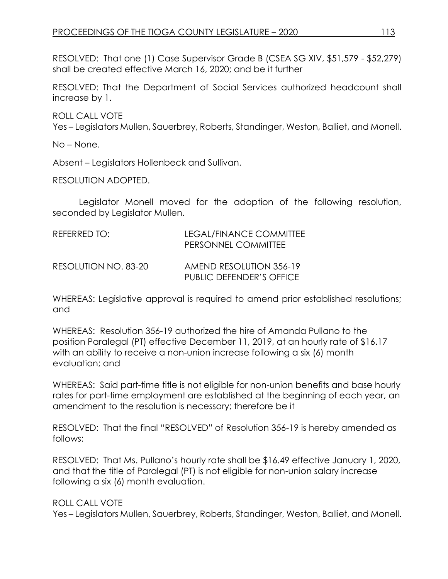RESOLVED: That one (1) Case Supervisor Grade B (CSEA SG XIV, \$51,579 - \$52,279) shall be created effective March 16, 2020; and be it further

RESOLVED: That the Department of Social Services authorized headcount shall increase by 1.

ROLL CALL VOTE

Yes – Legislators Mullen, Sauerbrey, Roberts, Standinger, Weston, Balliet, and Monell.

No – None.

Absent – Legislators Hollenbeck and Sullivan.

RESOLUTION ADOPTED.

Legislator Monell moved for the adoption of the following resolution, seconded by Legislator Mullen.

| REFERRED TO:         | LEGAL/FINANCE COMMITTEE<br>PERSONNEL COMMITTEE      |
|----------------------|-----------------------------------------------------|
| RESOLUTION NO. 83-20 | AMEND RESOLUTION 356-19<br>PUBLIC DEFENDER'S OFFICE |

WHEREAS: Legislative approval is required to amend prior established resolutions; and

WHEREAS: Resolution 356-19 authorized the hire of Amanda Pullano to the position Paralegal (PT) effective December 11, 2019, at an hourly rate of \$16.17 with an ability to receive a non-union increase following a six (6) month evaluation; and

WHEREAS: Said part-time title is not eligible for non-union benefits and base hourly rates for part-time employment are established at the beginning of each year, an amendment to the resolution is necessary; therefore be it

RESOLVED: That the final "RESOLVED" of Resolution 356-19 is hereby amended as follows:

RESOLVED: That Ms. Pullano's hourly rate shall be \$16.49 effective January 1, 2020, and that the title of Paralegal (PT) is not eligible for non-union salary increase following a six (6) month evaluation.

ROLL CALL VOTE

Yes – Legislators Mullen, Sauerbrey, Roberts, Standinger, Weston, Balliet, and Monell.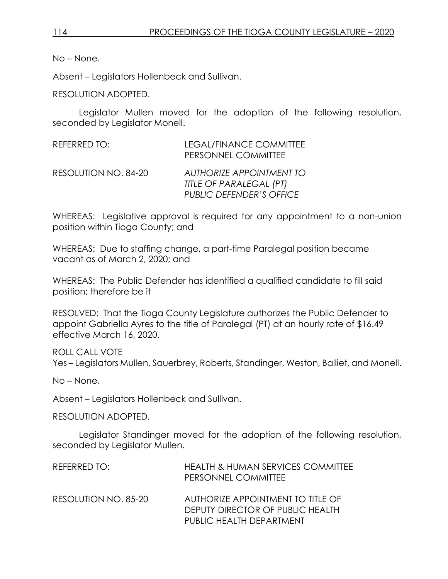No – None.

Absent – Legislators Hollenbeck and Sullivan.

RESOLUTION ADOPTED.

Legislator Mullen moved for the adoption of the following resolution, seconded by Legislator Monell.

| REFERRED TO:         | LEGAL/FINANCE COMMITTEE<br>PERSONNEL COMMITTEE                                                |
|----------------------|-----------------------------------------------------------------------------------------------|
| RESOLUTION NO. 84-20 | <b>AUTHORIZE APPOINTMENT TO</b><br>TITLE OF PARALEGAL (PT)<br><b>PUBLIC DEFENDER'S OFFICE</b> |

WHEREAS: Legislative approval is required for any appointment to a non-union position within Tioga County; and

WHEREAS: Due to staffing change, a part-time Paralegal position became vacant as of March 2, 2020; and

WHEREAS: The Public Defender has identified a qualified candidate to fill said position; therefore be it

RESOLVED: That the Tioga County Legislature authorizes the Public Defender to appoint Gabriella Ayres to the title of Paralegal (PT) at an hourly rate of \$16.49 effective March 16, 2020.

ROLL CALL VOTE

Yes – Legislators Mullen, Sauerbrey, Roberts, Standinger, Weston, Balliet, and Monell.

No – None.

Absent – Legislators Hollenbeck and Sullivan.

RESOLUTION ADOPTED.

Legislator Standinger moved for the adoption of the following resolution, seconded by Legislator Mullen.

| REFERRED TO:         | <b>HEALTH &amp; HUMAN SERVICES COMMITTEE</b><br>PERSONNEL COMMITTEE   |
|----------------------|-----------------------------------------------------------------------|
| RESOLUTION NO. 85-20 | AUTHORIZE APPOINTMENT TO TITLE OF<br>DEPUTY DIRECTOR OF PUBLIC HEALTH |
|                      | PUBLIC HEALTH DEPARTMENT                                              |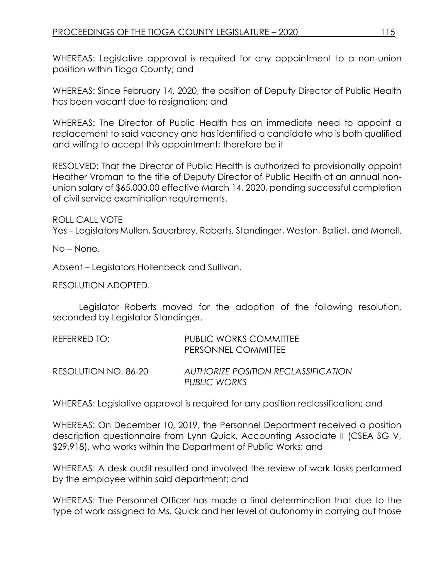WHEREAS: Legislative approval is required for any appointment to a non-union position within Tioga County; and

WHEREAS: Since February 14, 2020, the position of Deputy Director of Public Health has been vacant due to resignation; and

WHEREAS: The Director of Public Health has an immediate need to appoint a replacement to said vacancy and has identified a candidate who is both qualified and willing to accept this appointment; therefore be it

RESOLVED: That the Director of Public Health is authorized to provisionally appoint Heather Vroman to the title of Deputy Director of Public Health at an annual nonunion salary of \$65,000.00 effective March 14, 2020, pending successful completion of civil service examination requirements.

ROLL CALL VOTE

Yes – Legislators Mullen, Sauerbrey, Roberts, Standinger, Weston, Balliet, and Monell.

No – None.

Absent – Legislators Hollenbeck and Sullivan.

RESOLUTION ADOPTED.

Legislator Roberts moved for the adoption of the following resolution, seconded by Legislator Standinger.

| REFERRED TO:         | <b>PUBLIC WORKS COMMITTEE</b><br>PERSONNEL COMMITTEE |
|----------------------|------------------------------------------------------|
| RESOLUTION NO. 86-20 | AUTHORIZE POSITION RECLASSIFICATION<br>PUBLIC WORKS  |

WHEREAS: Legislative approval is required for any position reclassification; and

WHEREAS: On December 10, 2019, the Personnel Department received a position description questionnaire from Lynn Quick, Accounting Associate II (CSEA SG V, \$29,918), who works within the Department of Public Works; and

WHEREAS: A desk audit resulted and involved the review of work tasks performed by the employee within said department; and

WHEREAS: The Personnel Officer has made a final determination that due to the type of work assigned to Ms. Quick and her level of autonomy in carrying out those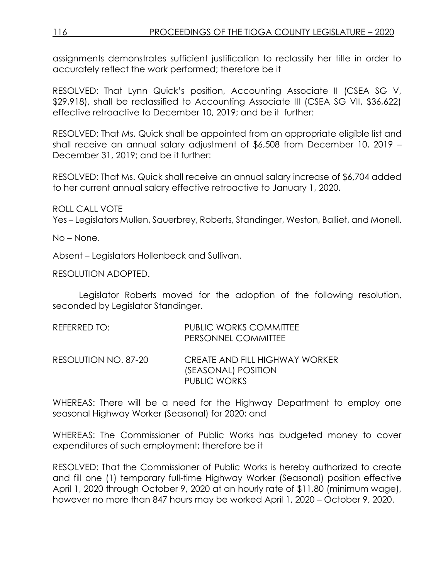assignments demonstrates sufficient justification to reclassify her title in order to accurately reflect the work performed; therefore be it

RESOLVED: That Lynn Quick's position, Accounting Associate II (CSEA SG V, \$29,918), shall be reclassified to Accounting Associate III (CSEA SG VII, \$36,622) effective retroactive to December 10, 2019; and be it further:

RESOLVED: That Ms. Quick shall be appointed from an appropriate eligible list and shall receive an annual salary adjustment of \$6,508 from December 10, 2019 – December 31, 2019; and be it further:

RESOLVED: That Ms. Quick shall receive an annual salary increase of \$6,704 added to her current annual salary effective retroactive to January 1, 2020.

ROLL CALL VOTE Yes – Legislators Mullen, Sauerbrey, Roberts, Standinger, Weston, Balliet, and Monell.

No – None.

Absent – Legislators Hollenbeck and Sullivan.

RESOLUTION ADOPTED.

Legislator Roberts moved for the adoption of the following resolution, seconded by Legislator Standinger.

| REFERRED TO:         | <b>PUBLIC WORKS COMMITTEE</b><br>PERSONNEL COMMITTEE                         |
|----------------------|------------------------------------------------------------------------------|
| RESOLUTION NO. 87-20 | CREATE AND FILL HIGHWAY WORKER<br>(SEASONAL) POSITION<br><b>PUBLIC WORKS</b> |

WHEREAS: There will be a need for the Highway Department to employ one seasonal Highway Worker (Seasonal) for 2020; and

WHEREAS: The Commissioner of Public Works has budgeted money to cover expenditures of such employment; therefore be it

RESOLVED: That the Commissioner of Public Works is hereby authorized to create and fill one (1) temporary full-time Highway Worker (Seasonal) position effective April 1, 2020 through October 9, 2020 at an hourly rate of \$11.80 (minimum wage), however no more than 847 hours may be worked April 1, 2020 – October 9, 2020.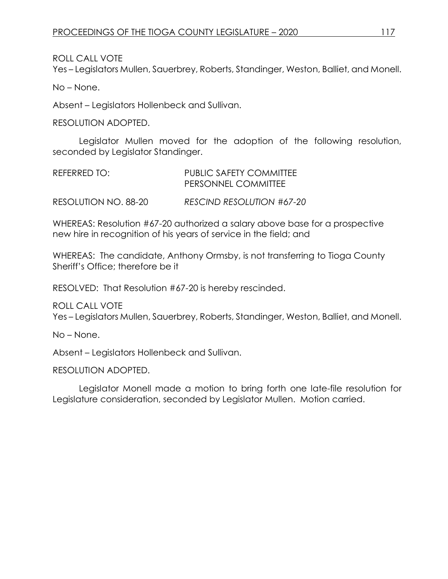ROLL CALL VOTE

Yes – Legislators Mullen, Sauerbrey, Roberts, Standinger, Weston, Balliet, and Monell.

No – None.

Absent – Legislators Hollenbeck and Sullivan.

RESOLUTION ADOPTED.

Legislator Mullen moved for the adoption of the following resolution, seconded by Legislator Standinger.

| REFERRED TO:         | <b>PUBLIC SAFETY COMMITTEE</b><br><b>PERSONNEL COMMITTEE</b> |
|----------------------|--------------------------------------------------------------|
| RESOLUTION NO. 88-20 | RESCIND RESOLUTION #67-20                                    |

WHEREAS: Resolution #67-20 authorized a salary above base for a prospective new hire in recognition of his years of service in the field; and

WHEREAS: The candidate, Anthony Ormsby, is not transferring to Tioga County Sheriff's Office; therefore be it

RESOLVED: That Resolution #67-20 is hereby rescinded.

ROLL CALL VOTE Yes – Legislators Mullen, Sauerbrey, Roberts, Standinger, Weston, Balliet, and Monell.

No – None.

Absent – Legislators Hollenbeck and Sullivan.

RESOLUTION ADOPTED.

Legislator Monell made a motion to bring forth one late-file resolution for Legislature consideration, seconded by Legislator Mullen. Motion carried.